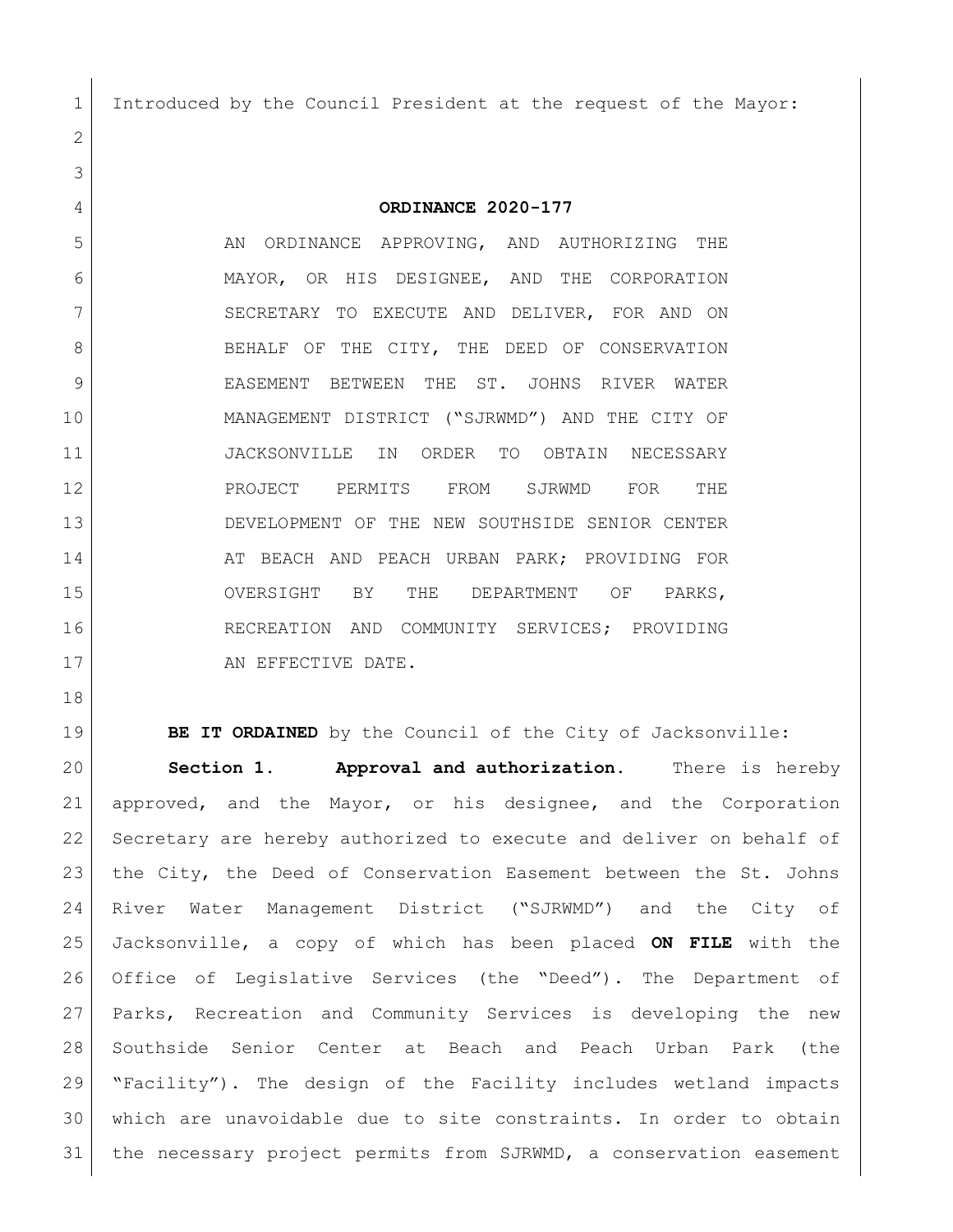Introduced by the Council President at the request of the Mayor:

**ORDINANCE 2020-177**

5 AN ORDINANCE APPROVING, AND AUTHORIZING THE MAYOR, OR HIS DESIGNEE, AND THE CORPORATION 7 SECRETARY TO EXECUTE AND DELIVER, FOR AND ON 8 BEHALF OF THE CITY, THE DEED OF CONSERVATION 9 BEASEMENT BETWEEN THE ST. JOHNS RIVER WATER MANAGEMENT DISTRICT ("SJRWMD") AND THE CITY OF JACKSONVILLE IN ORDER TO OBTAIN NECESSARY 12 RROJECT PERMITS FROM SJRWMD FOR THE DEVELOPMENT OF THE NEW SOUTHSIDE SENIOR CENTER 14 AT BEACH AND PEACH URBAN PARK; PROVIDING FOR OVERSIGHT BY THE DEPARTMENT OF PARKS, RECREATION AND COMMUNITY SERVICES; PROVIDING 17 AN EFFECTIVE DATE.

**BE IT ORDAINED** by the Council of the City of Jacksonville: **Section 1. Approval and authorization.** There is hereby approved, and the Mayor, or his designee, and the Corporation Secretary are hereby authorized to execute and deliver on behalf of 23 | the City, the Deed of Conservation Easement between the St. Johns River Water Management District ("SJRWMD") and the City of Jacksonville, a copy of which has been placed **ON FILE** with the Office of Legislative Services (the "Deed"). The Department of Parks, Recreation and Community Services is developing the new Southside Senior Center at Beach and Peach Urban Park (the "Facility"). The design of the Facility includes wetland impacts which are unavoidable due to site constraints. In order to obtain the necessary project permits from SJRWMD, a conservation easement